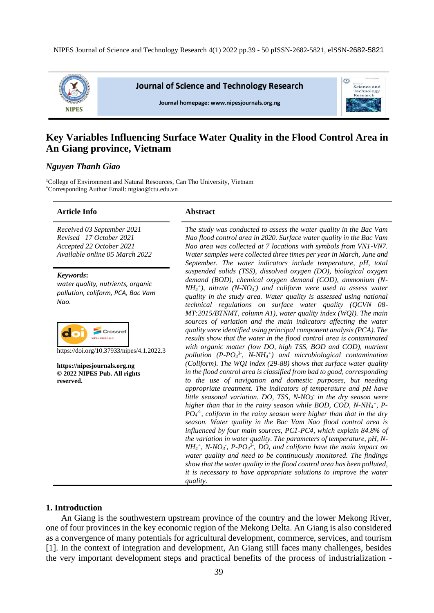

**Journal of Science and Technology Research** 

Journal homepage: www.nipesiournals.org.ng



# **Key Variables Influencing Surface Water Quality in the Flood Control Area in An Giang province, Vietnam**

## *Nguyen Thanh Giao*

<sup>1</sup>College of Environment and Natural Resources, Can Tho University, Vietnam \*Corresponding Author Email: ntgiao@ctu.edu.vn

#### **Article Info Abstract**

*Received 03 September 2021 Revised 17 October 2021 Accepted 22 October 2021 Available online 05 March 2022*

*Keywords***:**

*water quality, nutrients, organic pollution, coliform, PCA, Bac Vam Nao.*



https://doi.org/10.37933/nipes/4.1.2022.3

**https://nipesjournals.org.ng © 2022 NIPES Pub. All rights reserved.**

*The study was conducted to assess the water quality in the Bac Vam Nao flood control area in 2020. Surface water quality in the Bac Vam Nao area was collected at 7 locations with symbols from VN1-VN7. Water samples were collected three times per year in March, June and September. The water indicators include temperature, pH, total suspended solids (TSS), dissolved oxygen (DO), biological oxygen demand (BOD), chemical oxygen demand (COD), ammonium (N-* $NH_4$ <sup>+</sup>), nitrate (N-NO<sub>3</sub><sup>-</sup>) and coliform were used to assess water *quality in the study area. Water quality is assessed using national technical regulations on surface water quality (QCVN 08- MT:2015/BTNMT, column A1), water quality index (WQI). The main sources of variation and the main indicators affecting the water quality were identified using principal component analysis (PCA). The results show that the water in the flood control area is contaminated with organic matter (low DO, high TSS, BOD and COD), nutrient pollution (P-PO<sup>4</sup> 3- , N-NH<sup>4</sup> + ) and microbiological contamination (Coliform). The WQI index (29-88) shows that surface water quality in the flood control area is classified from bad to good, corresponding to the use of navigation and domestic purposes, but needing appropriate treatment. The indicators of temperature and pH have little seasonal variation. DO, TSS, N-NO<sup>3</sup> - in the dry season were higher than that in the rainy season while BOD, COD, N-NH<sup>4</sup> + , P-PO<sup>4</sup> 3- , coliform in the rainy season were higher than that in the dry season. Water quality in the Bac Vam Nao flood control area is influenced by four main sources, PC1-PC4, which explain 84.8% of the variation in water quality. The parameters of temperature, pH, N-* $NH_4$ <sup>+</sup>, *N-NO*<sub>3</sub>, *P-PO*<sub>4</sub><sup>3</sup>, *DO*, and coliform have the main impact on *water quality and need to be continuously monitored. The findings show that the water quality in the flood control area has been polluted, it is necessary to have appropriate solutions to improve the water quality.*

# **1. Introduction**

An Giang is the southwestern upstream province of the country and the lower Mekong River, one of four provinces in the key economic region of the Mekong Delta. An Giang is also considered as a convergence of many potentials for agricultural development, commerce, services, and tourism [1]. In the context of integration and development, An Giang still faces many challenges, besides the very important development steps and practical benefits of the process of industrialization -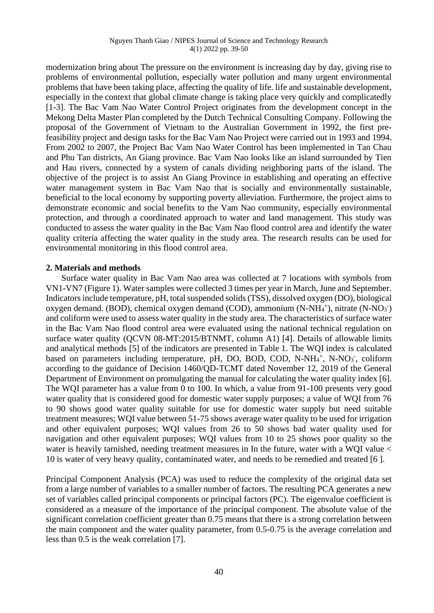modernization bring about The pressure on the environment is increasing day by day, giving rise to problems of environmental pollution, especially water pollution and many urgent environmental problems that have been taking place, affecting the quality of life. life and sustainable development, especially in the context that global climate change is taking place very quickly and complicatedly [1-3]. The Bac Vam Nao Water Control Project originates from the development concept in the Mekong Delta Master Plan completed by the Dutch Technical Consulting Company. Following the proposal of the Government of Vietnam to the Australian Government in 1992, the first prefeasibility project and design tasks for the Bac Vam Nao Project were carried out in 1993 and 1994. From 2002 to 2007, the Project Bac Vam Nao Water Control has been implemented in Tan Chau and Phu Tan districts, An Giang province. Bac Vam Nao looks like an island surrounded by Tien and Hau rivers, connected by a system of canals dividing neighboring parts of the island. The objective of the project is to assist An Giang Province in establishing and operating an effective water management system in Bac Vam Nao that is socially and environmentally sustainable, beneficial to the local economy by supporting poverty alleviation. Furthermore, the project aims to demonstrate economic and social benefits to the Vam Nao community, especially environmental protection, and through a coordinated approach to water and land management. This study was conducted to assess the water quality in the Bac Vam Nao flood control area and identify the water quality criteria affecting the water quality in the study area. The research results can be used for environmental monitoring in this flood control area.

# **2. Materials and methods**

Surface water quality in Bac Vam Nao area was collected at 7 locations with symbols from VN1-VN7 (Figure 1). Water samples were collected 3 times per year in March, June and September. Indicators include temperature, pH, total suspended solids (TSS), dissolved oxygen (DO), biological oxygen demand. (BOD), chemical oxygen demand (COD), ammonium (N-NH<sub>4</sub><sup>+</sup>), nitrate (N-NO<sub>3</sub><sup>-</sup>) and coliform were used to assess water quality in the study area. The characteristics of surface water in the Bac Vam Nao flood control area were evaluated using the national technical regulation on surface water quality (QCVN 08-MT:2015/BTNMT, column A1) [4]. Details of allowable limits and analytical methods [5] of the indicators are presented in Table 1. The WQI index is calculated based on parameters including temperature, pH, DO, BOD, COD, N-NH<sub>4</sub><sup>+</sup>, N-NO<sub>3</sub><sup>-</sup>, coliform according to the guidance of Decision 1460/QD-TCMT dated November 12, 2019 of the General Department of Environment on promulgating the manual for calculating the water quality index [6]. The WQI parameter has a value from 0 to 100. In which, a value from 91-100 presents very good water quality that is considered good for domestic water supply purposes; a value of WQI from 76 to 90 shows good water quality suitable for use for domestic water supply but need suitable treatment measures; WQI value between 51-75 shows average water quality to be used for irrigation and other equivalent purposes; WQI values from 26 to 50 shows bad water quality used for navigation and other equivalent purposes; WQI values from 10 to 25 shows poor quality so the water is heavily tarnished, needing treatment measures in In the future, water with a WQI value < 10 is water of very heavy quality, contaminated water, and needs to be remedied and treated [6 ].

Principal Component Analysis (PCA) was used to reduce the complexity of the original data set from a large number of variables to a smaller number of factors. The resulting PCA generates a new set of variables called principal components or principal factors (PC). The eigenvalue coefficient is considered as a measure of the importance of the principal component. The absolute value of the significant correlation coefficient greater than 0.75 means that there is a strong correlation between the main component and the water quality parameter, from 0.5-0.75 is the average correlation and less than 0.5 is the weak correlation [7].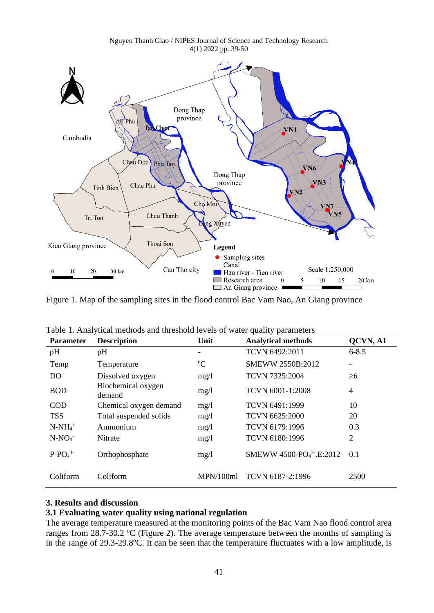

Figure 1. Map of the sampling sites in the flood control Bac Vam Nao, An Giang province

| <b>Parameter</b> | <b>Description</b>           | Unit        | <b>Analytical methods</b>                       | QCVN, A1  |
|------------------|------------------------------|-------------|-------------------------------------------------|-----------|
| pH               | pH                           |             | TCVN 6492:2011                                  | $6 - 8.5$ |
| Temp             | Temperature                  | $\rm ^{o}C$ | SMEWW 2550B:2012                                |           |
| DO <sub>1</sub>  | Dissolved oxygen             | mg/1        | <b>TCVN 7325:2004</b>                           | $\geq 6$  |
| <b>BOD</b>       | Biochemical oxygen<br>demand | mg/1        | TCVN 6001-1:2008                                | 4         |
| <b>COD</b>       | Chemical oxygen demand       | mg/1        | TCVN 6491:1999                                  | 10        |
| <b>TSS</b>       | Total suspended solids       | mg/1        | <b>TCVN 6625:2000</b>                           | 20        |
| $N-NH_4^+$       | Ammonium                     | mg/1        | TCVN 6179:1996                                  | 0.3       |
| $N-NO_3$         | Nitrate                      | mg/1        | TCVN 6180:1996                                  | 2         |
| $P-PO43$         | Orthophosphate               | mg/1        | SMEWW 4500-PO <sub>4</sub> <sup>3</sup> -E:2012 | 0.1       |
| Coliform         | Coliform                     | MPN/100ml   | TCVN 6187-2:1996                                | 2500      |

 $T_{\rm eff}$  1.  $1 - 4$  methods and methods and threshold levels of water smaller

## **3. Results and discussion**

# **3.1 Evaluating water quality using national regulation**

The average temperature measured at the monitoring points of the Bac Vam Nao flood control area ranges from 28.7-30.2  $\mathrm{C}$  (Figure 2). The average temperature between the months of sampling is in the range of  $29.3-29.8$ °C. It can be seen that the temperature fluctuates with a low amplitude, is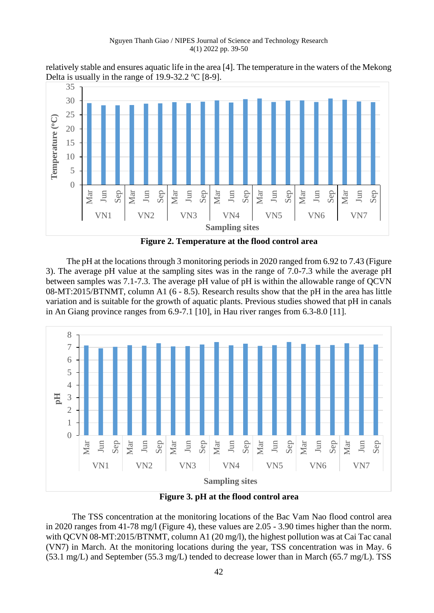relatively stable and ensures aquatic life in the area [4]. The temperature in the waters of the Mekong Delta is usually in the range of  $19.9-32.2$  °C [8-9].



**Figure 2. Temperature at the flood control area**

The pH at the locations through 3 monitoring periods in 2020 ranged from 6.92 to 7.43 (Figure 3). The average pH value at the sampling sites was in the range of 7.0-7.3 while the average pH between samples was 7.1-7.3. The average pH value of pH is within the allowable range of QCVN 08-MT:2015/BTNMT, column A1 (6 - 8.5). Research results show that the pH in the area has little variation and is suitable for the growth of aquatic plants. Previous studies showed that pH in canals in An Giang province ranges from 6.9-7.1 [10], in Hau river ranges from 6.3-8.0 [11].



**Figure 3. pH at the flood control area**

The TSS concentration at the monitoring locations of the Bac Vam Nao flood control area in 2020 ranges from 41-78 mg/l (Figure 4), these values are 2.05 - 3.90 times higher than the norm. with QCVN 08-MT:2015/BTNMT, column A1 (20 mg/l), the highest pollution was at Cai Tac canal (VN7) in March. At the monitoring locations during the year, TSS concentration was in May. 6 (53.1 mg/L) and September (55.3 mg/L) tended to decrease lower than in March (65.7 mg/L). TSS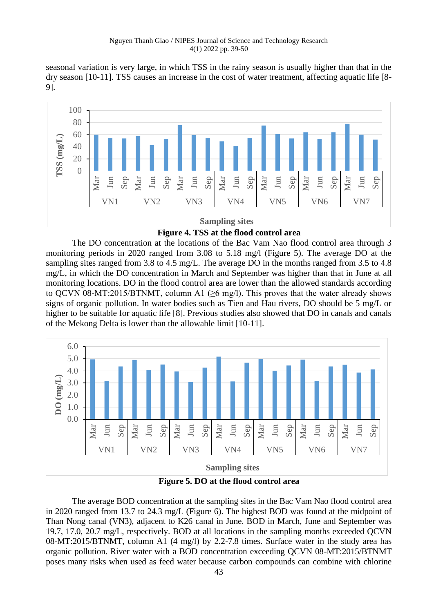seasonal variation is very large, in which TSS in the rainy season is usually higher than that in the dry season [10-11]. TSS causes an increase in the cost of water treatment, affecting aquatic life [8- 9].



**Figure 4. TSS at the flood control area**

The DO concentration at the locations of the Bac Vam Nao flood control area through 3 monitoring periods in 2020 ranged from 3.08 to 5.18 mg/l (Figure 5). The average DO at the sampling sites ranged from 3.8 to 4.5 mg/L. The average DO in the months ranged from 3.5 to 4.8 mg/L, in which the DO concentration in March and September was higher than that in June at all monitoring locations. DO in the flood control area are lower than the allowed standards according to QCVN 08-MT:2015/BTNMT, column A1 ( $\geq 6$  mg/l). This proves that the water already shows signs of organic pollution. In water bodies such as Tien and Hau rivers, DO should be 5 mg/L or higher to be suitable for aquatic life [8]. Previous studies also showed that DO in canals and canals of the Mekong Delta is lower than the allowable limit [10-11].



**Figure 5. DO at the flood control area**

The average BOD concentration at the sampling sites in the Bac Vam Nao flood control area in 2020 ranged from 13.7 to 24.3 mg/L (Figure 6). The highest BOD was found at the midpoint of Than Nong canal (VN3), adjacent to K26 canal in June. BOD in March, June and September was 19.7, 17.0, 20.7 mg/L, respectively. BOD at all locations in the sampling months exceeded QCVN 08-MT:2015/BTNMT, column A1 (4 mg/l) by 2.2-7.8 times. Surface water in the study area has organic pollution. River water with a BOD concentration exceeding QCVN 08-MT:2015/BTNMT poses many risks when used as feed water because carbon compounds can combine with chlorine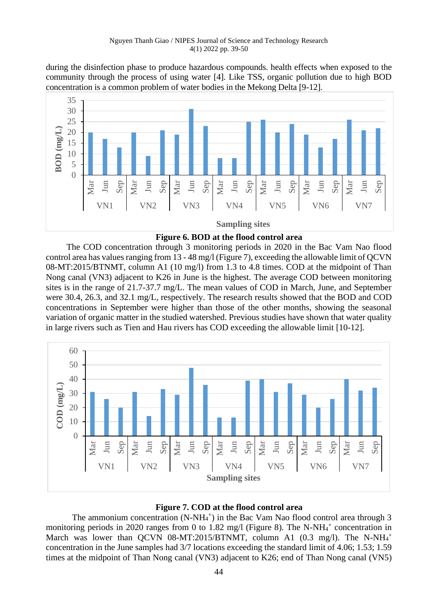during the disinfection phase to produce hazardous compounds. health effects when exposed to the community through the process of using water [4]. Like TSS, organic pollution due to high BOD concentration is a common problem of water bodies in the Mekong Delta [9-12].



**Figure 6. BOD at the flood control area**

The COD concentration through 3 monitoring periods in 2020 in the Bac Vam Nao flood control area has values ranging from 13 - 48 mg/l (Figure 7), exceeding the allowable limit of QCVN 08-MT:2015/BTNMT, column A1 (10 mg/l) from 1.3 to 4.8 times. COD at the midpoint of Than Nong canal (VN3) adjacent to K26 in June is the highest. The average COD between monitoring sites is in the range of 21.7-37.7 mg/L. The mean values of COD in March, June, and September were 30.4, 26.3, and 32.1 mg/L, respectively. The research results showed that the BOD and COD concentrations in September were higher than those of the other months, showing the seasonal variation of organic matter in the studied watershed. Previous studies have shown that water quality in large rivers such as Tien and Hau rivers has COD exceeding the allowable limit [10-12].



# **Figure 7. COD at the flood control area**

The ammonium concentration  $(N-NH_4^+)$  in the Bac Vam Nao flood control area through 3 monitoring periods in 2020 ranges from 0 to 1.82 mg/l (Figure 8). The N-NH $_4$ <sup>+</sup> concentration in March was lower than QCVN 08-MT:2015/BTNMT, column A1 (0.3 mg/l). The N-NH<sub>4</sub><sup>+</sup> concentration in the June samples had 3/7 locations exceeding the standard limit of 4.06; 1.53; 1.59 times at the midpoint of Than Nong canal (VN3) adjacent to K26; end of Than Nong canal (VN5)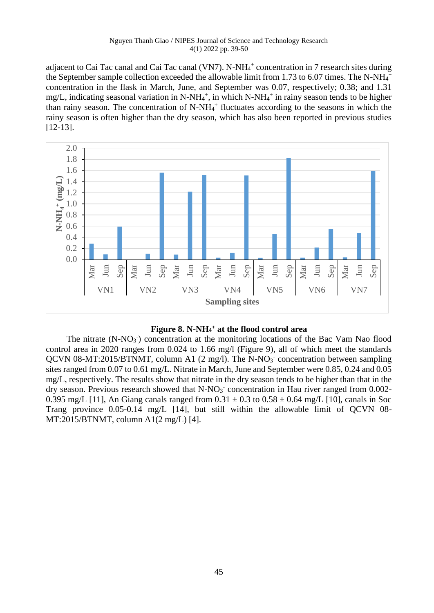adjacent to Cai Tac canal and Cai Tac canal (VN7). N-NH<sub>4</sub><sup>+</sup> concentration in 7 research sites during the September sample collection exceeded the allowable limit from 1.73 to 6.07 times. The N-NH $4^+$ concentration in the flask in March, June, and September was 0.07, respectively; 0.38; and 1.31 mg/L, indicating seasonal variation in N-NH<sub>4</sub><sup>+</sup>, in which N-NH<sub>4</sub><sup>+</sup> in rainy season tends to be higher than rainy season. The concentration of  $N-NH<sub>4</sub><sup>+</sup>$  fluctuates according to the seasons in which the rainy season is often higher than the dry season, which has also been reported in previous studies [12-13].





The nitrate  $(N-NO<sub>3</sub>)$  concentration at the monitoring locations of the Bac Vam Nao flood control area in 2020 ranges from 0.024 to 1.66 mg/l (Figure 9), all of which meet the standards QCVN 08-MT:2015/BTNMT, column A1 (2 mg/l). The N-NO<sub>3</sub> concentration between sampling sites ranged from 0.07 to 0.61 mg/L. Nitrate in March, June and September were 0.85, 0.24 and 0.05 mg/L, respectively. The results show that nitrate in the dry season tends to be higher than that in the dry season. Previous research showed that  $N-NO<sub>3</sub>$  concentration in Hau river ranged from 0.002-0.395 mg/L [11], An Giang canals ranged from  $0.31 \pm 0.3$  to  $0.58 \pm 0.64$  mg/L [10], canals in Soc Trang province 0.05-0.14 mg/L [14], but still within the allowable limit of QCVN 08- MT:2015/BTNMT, column A1(2 mg/L) [4].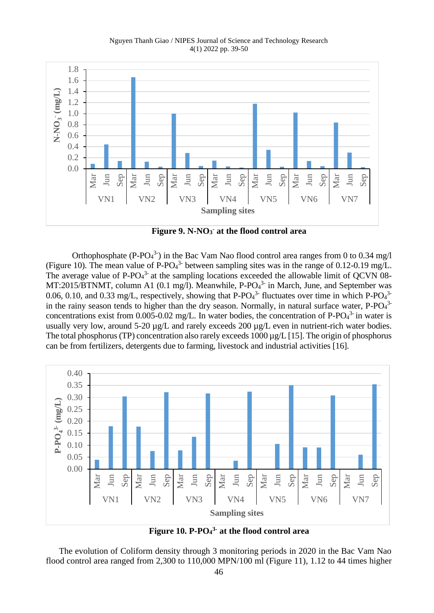

**Figure 9. N-NO<sup>3</sup> - at the flood control area**

Orthophosphate (P-PO<sub>4</sub><sup>3</sup>) in the Bac Vam Nao flood control area ranges from 0 to 0.34 mg/l (Figure 10). The mean value of P-PO $4^3$ - between sampling sites was in the range of 0.12-0.19 mg/L. The average value of P-PO $4^3$  at the sampling locations exceeded the allowable limit of QCVN 08-MT:2015/BTNMT, column A1 (0.1 mg/l). Meanwhile, P-PO $4<sup>3</sup>$  in March, June, and September was 0.06, 0.10, and 0.33 mg/L, respectively, showing that P-PO $_4$ <sup>3-</sup> fluctuates over time in which P-PO $_4$ <sup>3-</sup> in the rainy season tends to higher than the dry season. Normally, in natural surface water,  $P$ - $PO<sub>4</sub>$ <sup>3</sup>concentrations exist from 0.005-0.02 mg/L. In water bodies, the concentration of P-PO $4<sup>3</sup>$  in water is usually very low, around 5-20  $\mu$ g/L and rarely exceeds 200  $\mu$ g/L even in nutrient-rich water bodies. The total phosphorus (TP) concentration also rarely exceeds 1000  $\mu$ g/L [15]. The origin of phosphorus can be from fertilizers, detergents due to farming, livestock and industrial activities [16].



**Figure 10. P-PO<sup>4</sup> 3- at the flood control area**

The evolution of Coliform density through 3 monitoring periods in 2020 in the Bac Vam Nao flood control area ranged from 2,300 to 110,000 MPN/100 ml (Figure 11), 1.12 to 44 times higher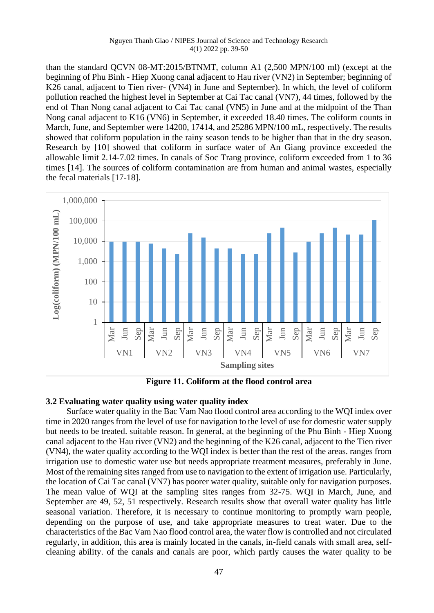than the standard QCVN 08-MT:2015/BTNMT, column A1 (2,500 MPN/100 ml) (except at the beginning of Phu Binh - Hiep Xuong canal adjacent to Hau river (VN2) in September; beginning of K26 canal, adjacent to Tien river- (VN4) in June and September). In which, the level of coliform pollution reached the highest level in September at Cai Tac canal (VN7), 44 times, followed by the end of Than Nong canal adjacent to Cai Tac canal (VN5) in June and at the midpoint of the Than Nong canal adjacent to K16 (VN6) in September, it exceeded 18.40 times. The coliform counts in March, June, and September were 14200, 17414, and 25286 MPN/100 mL, respectively. The results showed that coliform population in the rainy season tends to be higher than that in the dry season. Research by [10] showed that coliform in surface water of An Giang province exceeded the allowable limit 2.14-7.02 times. In canals of Soc Trang province, coliform exceeded from 1 to 36 times [14]. The sources of coliform contamination are from human and animal wastes, especially the fecal materials [17-18].



**Figure 11. Coliform at the flood control area**

# **3.2 Evaluating water quality using water quality index**

Surface water quality in the Bac Vam Nao flood control area according to the WQI index over time in 2020 ranges from the level of use for navigation to the level of use for domestic water supply but needs to be treated. suitable reason. In general, at the beginning of the Phu Binh - Hiep Xuong canal adjacent to the Hau river (VN2) and the beginning of the K26 canal, adjacent to the Tien river (VN4), the water quality according to the WQI index is better than the rest of the areas. ranges from irrigation use to domestic water use but needs appropriate treatment measures, preferably in June. Most of the remaining sites ranged from use to navigation to the extent of irrigation use. Particularly, the location of Cai Tac canal (VN7) has poorer water quality, suitable only for navigation purposes. The mean value of WQI at the sampling sites ranges from 32-75. WQI in March, June, and September are 49, 52, 51 respectively. Research results show that overall water quality has little seasonal variation. Therefore, it is necessary to continue monitoring to promptly warn people, depending on the purpose of use, and take appropriate measures to treat water. Due to the characteristics of the Bac Vam Nao flood control area, the water flow is controlled and not circulated regularly, in addition, this area is mainly located in the canals, in-field canals with small area, selfcleaning ability. of the canals and canals are poor, which partly causes the water quality to be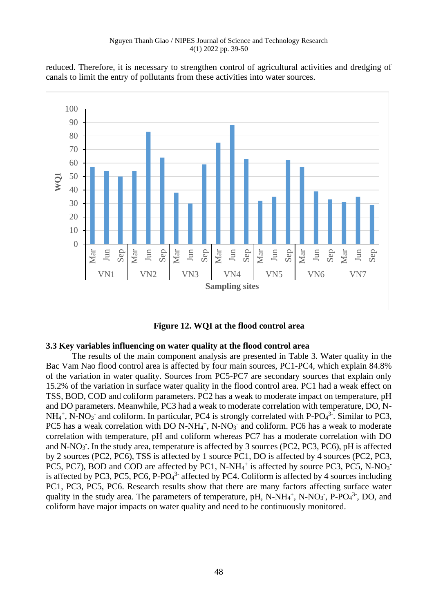reduced. Therefore, it is necessary to strengthen control of agricultural activities and dredging of canals to limit the entry of pollutants from these activities into water sources.





# **3.3 Key variables influencing on water quality at the flood control area**

The results of the main component analysis are presented in Table 3. Water quality in the Bac Vam Nao flood control area is affected by four main sources, PC1-PC4, which explain 84.8% of the variation in water quality. Sources from PC5-PC7 are secondary sources that explain only 15.2% of the variation in surface water quality in the flood control area. PC1 had a weak effect on TSS, BOD, COD and coliform parameters. PC2 has a weak to moderate impact on temperature, pH and DO parameters. Meanwhile, PC3 had a weak to moderate correlation with temperature, DO, N- $NH_4^+$ , N-NO<sub>3</sub><sup>-</sup> and coliform. In particular, PC4 is strongly correlated with P-PO<sub>4</sub><sup>3</sup>-. Similar to PC3, PC5 has a weak correlation with DO N-NH $_4$ <sup>+</sup>, N-NO<sub>3</sub><sup>-</sup> and coliform. PC6 has a weak to moderate correlation with temperature, pH and coliform whereas PC7 has a moderate correlation with DO and N-NO<sub>3</sub><sup>-</sup>. In the study area, temperature is affected by 3 sources (PC2, PC3, PC6), pH is affected by 2 sources (PC2, PC6), TSS is affected by 1 source PC1, DO is affected by 4 sources (PC2, PC3, PC5, PC7), BOD and COD are affected by PC1, N-NH<sub>4</sub><sup>+</sup> is affected by source PC3, PC5, N-NO<sub>3</sub><sup>-</sup> is affected by PC3, PC5, PC6, P-PO $4^3$ - affected by PC4. Coliform is affected by 4 sources including PC1, PC3, PC5, PC6. Research results show that there are many factors affecting surface water quality in the study area. The parameters of temperature, pH,  $N-NH_4^+$ ,  $N-NO_3^-$ ,  $P-PO_4^3$ , DO, and coliform have major impacts on water quality and need to be continuously monitored.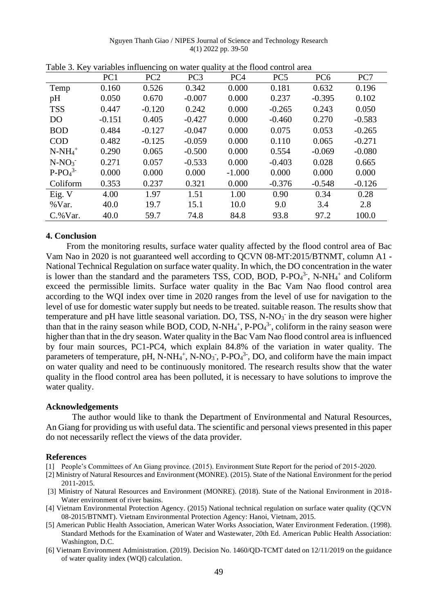|                | PC <sub>1</sub> | PC <sub>2</sub> | PC <sub>3</sub> | PC <sub>4</sub> | PC <sub>5</sub> | PC <sub>6</sub> | PC7      |
|----------------|-----------------|-----------------|-----------------|-----------------|-----------------|-----------------|----------|
| Temp           | 0.160           | 0.526           | 0.342           | 0.000           | 0.181           | 0.632           | 0.196    |
| pH             | 0.050           | 0.670           | $-0.007$        | 0.000           | 0.237           | $-0.395$        | 0.102    |
| <b>TSS</b>     | 0.447           | $-0.120$        | 0.242           | 0.000           | $-0.265$        | 0.243           | 0.050    |
| D <sub>O</sub> | $-0.151$        | 0.405           | $-0.427$        | 0.000           | $-0.460$        | 0.270           | $-0.583$ |
| <b>BOD</b>     | 0.484           | $-0.127$        | $-0.047$        | 0.000           | 0.075           | 0.053           | $-0.265$ |
| <b>COD</b>     | 0.482           | $-0.125$        | $-0.059$        | 0.000           | 0.110           | 0.065           | $-0.271$ |
| $N-NH_4^+$     | 0.290           | 0.065           | $-0.500$        | 0.000           | 0.554           | $-0.069$        | $-0.080$ |
| $N-NO_3$       | 0.271           | 0.057           | $-0.533$        | 0.000           | $-0.403$        | 0.028           | 0.665    |
| $P-PO43$       | 0.000           | 0.000           | 0.000           | $-1.000$        | 0.000           | 0.000           | 0.000    |
| Coliform       | 0.353           | 0.237           | 0.321           | 0.000           | $-0.376$        | $-0.548$        | $-0.126$ |
| Eig. V         | 4.00            | 1.97            | 1.51            | 1.00            | 0.90            | 0.34            | 0.28     |
| %Var.          | 40.0            | 19.7            | 15.1            | 10.0            | 9.0             | 3.4             | 2.8      |
| $C.$ % Var.    | 40.0            | 59.7            | 74.8            | 84.8            | 93.8            | 97.2            | 100.0    |

Table 3. Key variables influencing on water quality at the flood control area

# **4. Conclusion**

From the monitoring results, surface water quality affected by the flood control area of Bac Vam Nao in 2020 is not guaranteed well according to QCVN 08-MT:2015/BTNMT, column A1 - National Technical Regulation on surface water quality. In which, the DO concentration in the water is lower than the standard and the parameters TSS, COD, BOD,  $P$ - $PO<sub>4</sub><sup>3</sup>$ , N-NH<sub>4</sub><sup>+</sup> and Coliform exceed the permissible limits. Surface water quality in the Bac Vam Nao flood control area according to the WQI index over time in 2020 ranges from the level of use for navigation to the level of use for domestic water supply but needs to be treated. suitable reason. The results show that temperature and pH have little seasonal variation. DO, TSS, N-NO<sub>3</sub> in the dry season were higher than that in the rainy season while BOD, COD, N-NH $_4^+$ , P-PO $_4^3$ , coliform in the rainy season were higher than that in the dry season. Water quality in the Bac Vam Nao flood control area is influenced by four main sources, PC1-PC4, which explain 84.8% of the variation in water quality. The parameters of temperature, pH, N-NH<sub>4</sub><sup>+</sup>, N-NO<sub>3</sub><sup>-</sup>, P-PO<sub>4</sub><sup>3-</sup>, DO, and coliform have the main impact on water quality and need to be continuously monitored. The research results show that the water quality in the flood control area has been polluted, it is necessary to have solutions to improve the water quality.

## **Acknowledgements**

The author would like to thank the Department of Environmental and Natural Resources, An Giang for providing us with useful data. The scientific and personal views presented in this paper do not necessarily reflect the views of the data provider.

## **References**

- [1] People's Committees of An Giang province. (2015). Environment State Report for the period of 2015-2020.
- [2] Ministry of Natural Resources and Environment (MONRE). (2015). State of the National Environment for the period 2011-2015.
- [3] Ministry of Natural Resources and Environment (MONRE). (2018). State of the National Environment in 2018- Water environment of river basins.
- [4] Vietnam Environmental Protection Agency. (2015) National technical regulation on surface water quality (QCVN 08-2015/BTNMT). Vietnam Environmental Protection Agency: Hanoi, Vietnam, 2015.
- [5] American Public Health Association, American Water Works Association, Water Environment Federation. (1998). Standard Methods for the Examination of Water and Wastewater, 20th Ed. American Public Health Association: Washington, D.C.
- [6] Vietnam Environment Administration. (2019). Decision No. 1460/QD-TCMT dated on 12/11/2019 on the guidance of water quality index (WQI) calculation.